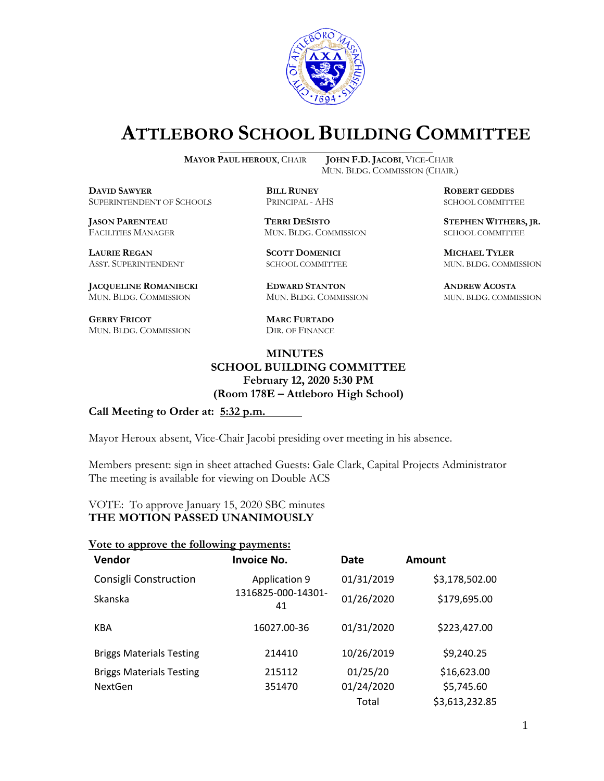

# **ATTLEBORO SCHOOL BUILDING COMMITTEE**

**MAYOR PAUL HEROUX**, CHAIR **JOHN F.D. JACOBI**, VICE-CHAIR

**DAVID SAWYER BILL RUNEY ROBERT GEDDES** SUPERINTENDENT OF SCHOOLS PRINCIPAL - AHS SCHOOL COMMITTEE

**LAURIE REGAN SCOTT DOMENICI MICHAEL TYLER**

**JACQUELINE ROMANIECKI EDWARD STANTON ANDREW ACOSTA** MUN. BLDG. COMMISSION MUN. BLDG. COMMISSION MUN. BLDG. COMMISSION

**GERRY FRICOT MARC FURTADO** MUN. BLDG. COMMISSION DIR. OF FINANCE

MUN. BLDG. COMMISSION (CHAIR.)

**JASON PARENTEAU TERRI DESISTO STEPHEN WITHERS, JR.** MUN. BLDG. COMMISSION SCHOOL COMMITTEE

ASST. SUPERINTENDENT SCHOOL COMMITTEE MUN. BLDG. COMMISSION

## **MINUTES SCHOOL BUILDING COMMITTEE February 12, 2020 5:30 PM (Room 178E – Attleboro High School)**

#### **Call Meeting to Order at: 5:32 p.m.**

Mayor Heroux absent, Vice-Chair Jacobi presiding over meeting in his absence.

Members present: sign in sheet attached Guests: Gale Clark, Capital Projects Administrator The meeting is available for viewing on Double ACS

### VOTE: To approve January 15, 2020 SBC minutes **THE MOTION PASSED UNANIMOUSLY**

#### **Vote to approve the following payments:**

| <b>Vendor</b>                   | <b>Invoice No.</b>       | Date       | Amount         |
|---------------------------------|--------------------------|------------|----------------|
| Consigli Construction           | <b>Application 9</b>     | 01/31/2019 | \$3,178,502.00 |
| Skanska                         | 1316825-000-14301-<br>41 | 01/26/2020 | \$179,695.00   |
| KBA                             | 16027.00-36              | 01/31/2020 | \$223,427.00   |
| <b>Briggs Materials Testing</b> | 214410                   | 10/26/2019 | \$9,240.25     |
| <b>Briggs Materials Testing</b> | 215112                   | 01/25/20   | \$16,623.00    |
| NextGen                         | 351470                   | 01/24/2020 | \$5,745.60     |
|                                 |                          | Total      | \$3,613,232.85 |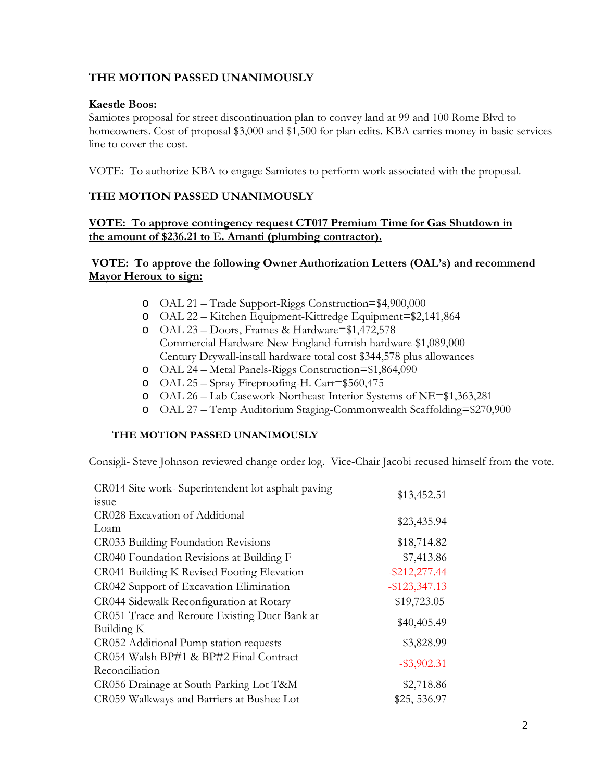## **THE MOTION PASSED UNANIMOUSLY**

## **Kaestle Boos:**

Samiotes proposal for street discontinuation plan to convey land at 99 and 100 Rome Blvd to homeowners. Cost of proposal \$3,000 and \$1,500 for plan edits. KBA carries money in basic services line to cover the cost.

VOTE: To authorize KBA to engage Samiotes to perform work associated with the proposal.

## **THE MOTION PASSED UNANIMOUSLY**

## **VOTE: To approve contingency request CT017 Premium Time for Gas Shutdown in the amount of \$236.21 to E. Amanti (plumbing contractor).**

## **VOTE: To approve the following Owner Authorization Letters (OAL's) and recommend Mayor Heroux to sign:**

- o OAL 21 Trade Support-Riggs Construction=\$4,900,000
- o OAL 22 Kitchen Equipment-Kittredge Equipment=\$2,141,864
- o OAL 23 Doors, Frames & Hardware=\$1,472,578 Commercial Hardware New England-furnish hardware-\$1,089,000 Century Drywall-install hardware total cost \$344,578 plus allowances
- o OAL 24 Metal Panels-Riggs Construction=\$1,864,090
- o OAL 25 Spray Fireproofing-H. Carr=\$560,475
- o OAL 26 Lab Casework-Northeast Interior Systems of NE=\$1,363,281
- o OAL 27 Temp Auditorium Staging-Commonwealth Scaffolding=\$270,900

#### **THE MOTION PASSED UNANIMOUSLY**

Consigli- Steve Johnson reviewed change order log. Vice-Chair Jacobi recused himself from the vote.

| CR014 Site work- Superintendent lot asphalt paving | \$13,452.51      |
|----------------------------------------------------|------------------|
| issue                                              |                  |
| CR028 Excavation of Additional                     | \$23,435.94      |
| Loam                                               |                  |
| CR033 Building Foundation Revisions                | \$18,714.82      |
| CR040 Foundation Revisions at Building F           | \$7,413.86       |
| CR041 Building K Revised Footing Elevation         | $-$ \$212,277.44 |
| CR042 Support of Excavation Elimination            | $-$ \$123,347.13 |
| CR044 Sidewalk Reconfiguration at Rotary           | \$19,723.05      |
| CR051 Trace and Reroute Existing Duct Bank at      | \$40,405.49      |
| Building K                                         |                  |
| CR052 Additional Pump station requests             | \$3,828.99       |
| CR054 Walsh BP#1 & BP#2 Final Contract             | $-$ \$3,902.31   |
| Reconciliation                                     |                  |
| CR056 Drainage at South Parking Lot T&M            | \$2,718.86       |
| CR059 Walkways and Barriers at Bushee Lot          | \$25, 536.97     |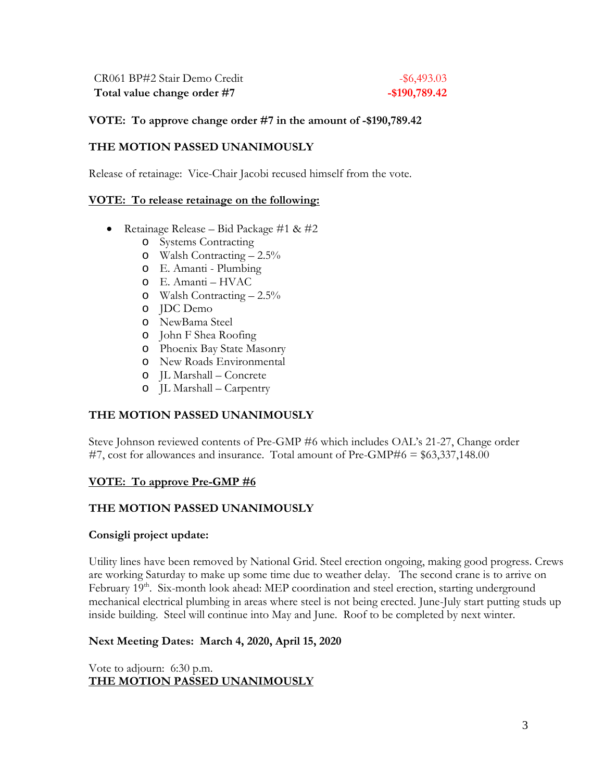CR061 BP#2 Stair Demo Credit - \$6,493.03 **Total value change order #7 -\$190,789.42**

#### **VOTE: To approve change order #7 in the amount of -\$190,789.42**

### **THE MOTION PASSED UNANIMOUSLY**

Release of retainage:Vice-Chair Jacobi recused himself from the vote.

#### **VOTE: To release retainage on the following:**

- Retainage Release Bid Package  $\#1 \& \#2$ 
	- o Systems Contracting
	- o Walsh Contracting 2.5%
	- o E. Amanti Plumbing
	- o E. Amanti HVAC
	- o Walsh Contracting 2.5%
	- o JDC Demo
	- o NewBama Steel
	- o John F Shea Roofing
	- o Phoenix Bay State Masonry
	- o New Roads Environmental
	- o JL Marshall Concrete
	- o JL Marshall Carpentry

## **THE MOTION PASSED UNANIMOUSLY**

Steve Johnson reviewed contents of Pre-GMP #6 which includes OAL's 21-27, Change order #7, cost for allowances and insurance. Total amount of Pre-GMP#6 = \$63,337,148.00

## **VOTE: To approve Pre-GMP #6**

## **THE MOTION PASSED UNANIMOUSLY**

#### **Consigli project update:**

Utility lines have been removed by National Grid. Steel erection ongoing, making good progress. Crews are working Saturday to make up some time due to weather delay. The second crane is to arrive on February 19<sup>th</sup>. Six-month look ahead: MEP coordination and steel erection, starting underground mechanical electrical plumbing in areas where steel is not being erected. June-July start putting studs up inside building. Steel will continue into May and June. Roof to be completed by next winter.

## **Next Meeting Dates: March 4, 2020, April 15, 2020**

Vote to adjourn: 6:30 p.m. **THE MOTION PASSED UNANIMOUSLY**